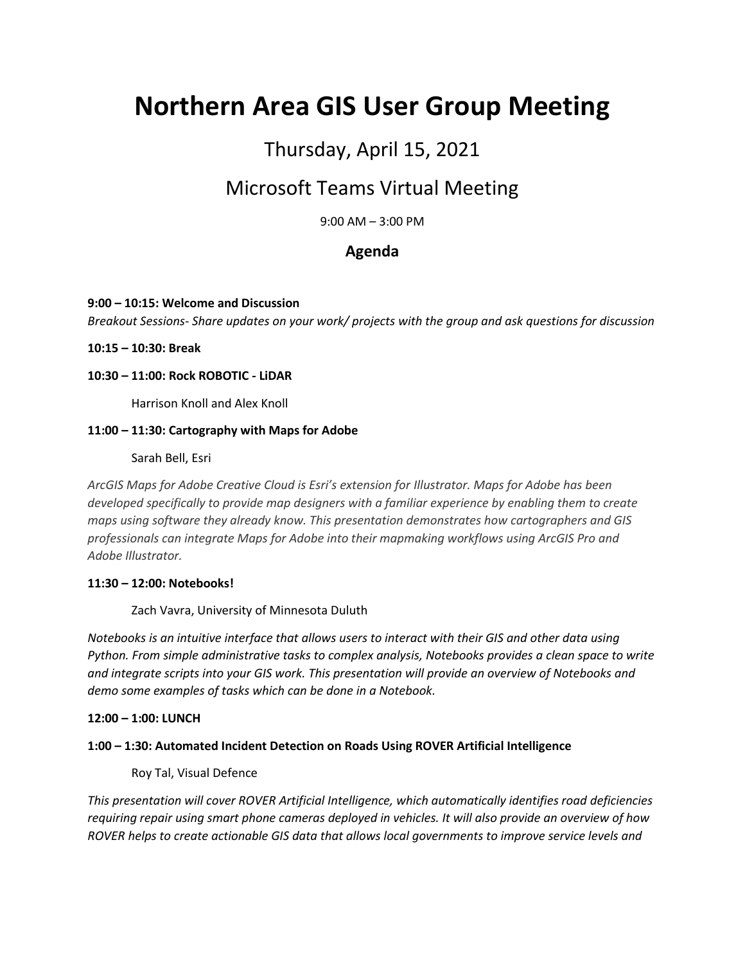# **Northern Area GIS User Group Meeting**

## Thursday, April 15, 2021

## Microsoft Teams Virtual Meeting

9:00 AM – 3:00 PM

### **Agenda**

#### **9:00 – 10:15: Welcome and Discussion**

*Breakout Sessions- Share updates on your work/ projects with the group and ask questions for discussion*

**10:15 – 10:30: Break**

#### **10:30 – 11:00: Rock ROBOTIC - LiDAR**

Harrison Knoll and Alex Knoll

#### **11:00 – 11:30: Cartography with Maps for Adobe**

Sarah Bell, Esri

*ArcGIS Maps for Adobe Creative Cloud is Esri's extension for Illustrator. Maps for Adobe has been developed specifically to provide map designers with a familiar experience by enabling them to create maps using software they already know. This presentation demonstrates how cartographers and GIS professionals can integrate Maps for Adobe into their mapmaking workflows using ArcGIS Pro and Adobe Illustrator.*

#### **11:30 – 12:00: Notebooks!**

Zach Vavra, University of Minnesota Duluth

*Notebooks is an intuitive interface that allows users to interact with their GIS and other data using Python. From simple administrative tasks to complex analysis, Notebooks provides a clean space to write and integrate scripts into your GIS work. This presentation will provide an overview of Notebooks and demo some examples of tasks which can be done in a Notebook.*

#### **12:00 – 1:00: LUNCH**

#### **1:00 – 1:30: Automated Incident Detection on Roads Using ROVER Artificial Intelligence**

Roy Tal, Visual Defence

*This presentation will cover ROVER Artificial Intelligence, which automatically identifies road deficiencies requiring repair using smart phone cameras deployed in vehicles. It will also provide an overview of how ROVER helps to create actionable GIS data that allows local governments to improve service levels and*